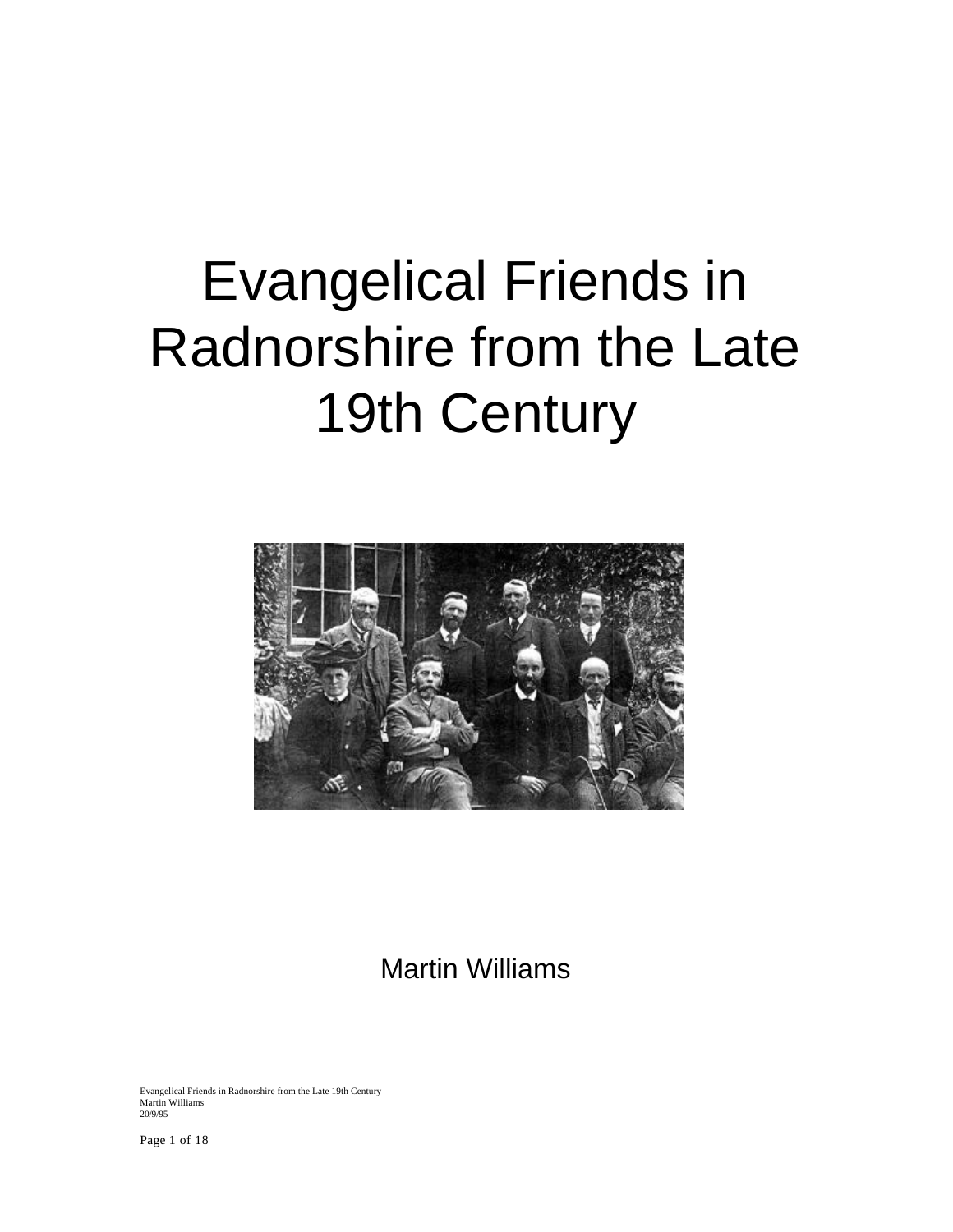# Evangelical Friends in Radnorshire from the Late 19th Century



Martin Williams

Evangelical Friends in Radnorshire from the Late 19th Century Martin Williams 20/9/95

Page 1 of 18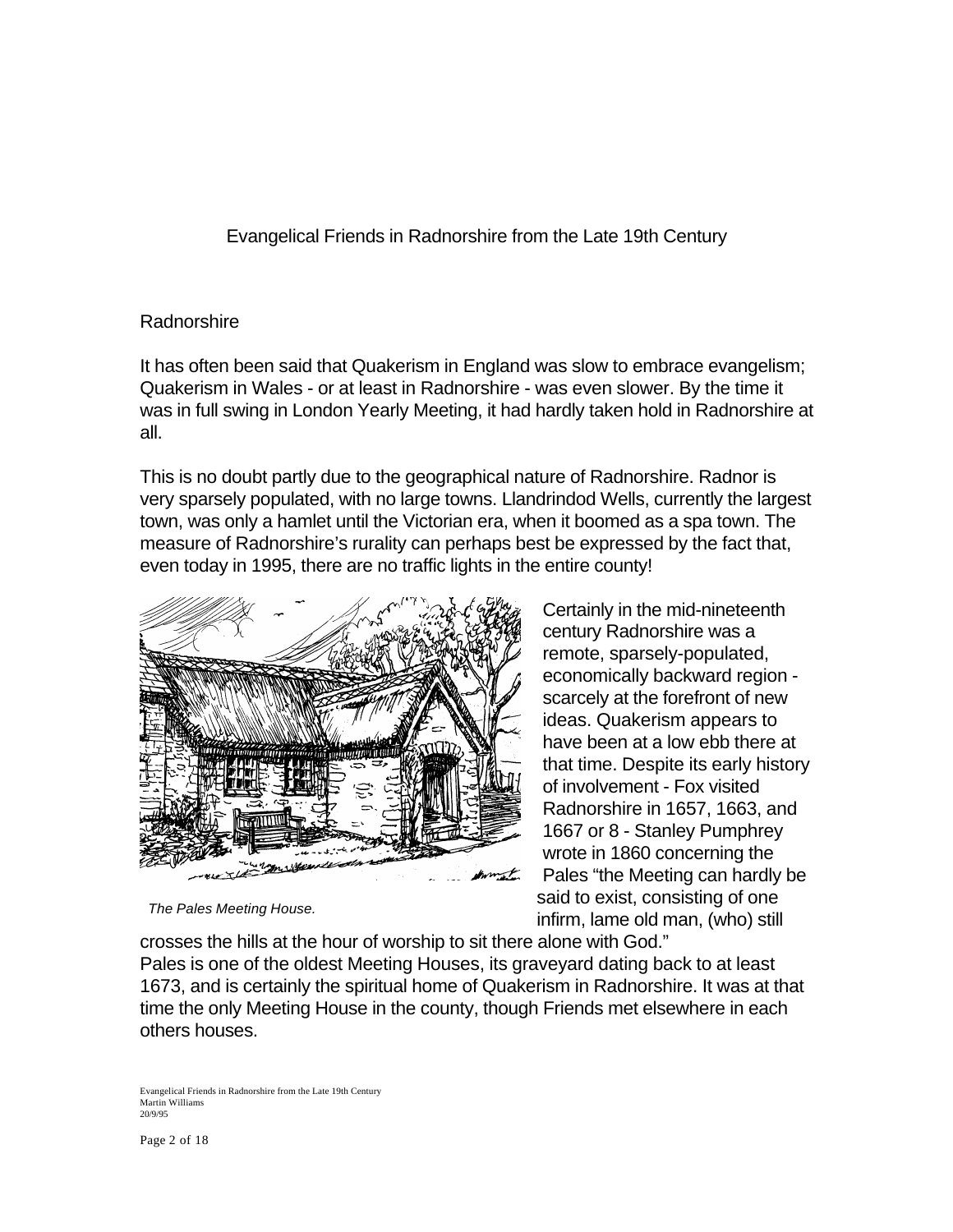Evangelical Friends in Radnorshire from the Late 19th Century

# Radnorshire

It has often been said that Quakerism in England was slow to embrace evangelism; Quakerism in Wales - or at least in Radnorshire - was even slower. By the time it was in full swing in London Yearly Meeting, it had hardly taken hold in Radnorshire at all.

This is no doubt partly due to the geographical nature of Radnorshire. Radnor is very sparsely populated, with no large towns. Llandrindod Wells, currently the largest town, was only a hamlet until the Victorian era, when it boomed as a spa town. The measure of Radnorshire's rurality can perhaps best be expressed by the fact that, even today in 1995, there are no traffic lights in the entire county!



*The Pales Meeting House.*

Certainly in the mid-nineteenth century Radnorshire was a remote, sparsely-populated, economically backward region scarcely at the forefront of new ideas. Quakerism appears to have been at a low ebb there at that time. Despite its early history of involvement - Fox visited Radnorshire in 1657, 1663, and 1667 or 8 - Stanley Pumphrey wrote in 1860 concerning the Pales "the Meeting can hardly be said to exist, consisting of one infirm, lame old man, (who) still

crosses the hills at the hour of worship to sit there alone with God." Pales is one of the oldest Meeting Houses, its graveyard dating back to at least 1673, and is certainly the spiritual home of Quakerism in Radnorshire. It was at that time the only Meeting House in the county, though Friends met elsewhere in each others houses.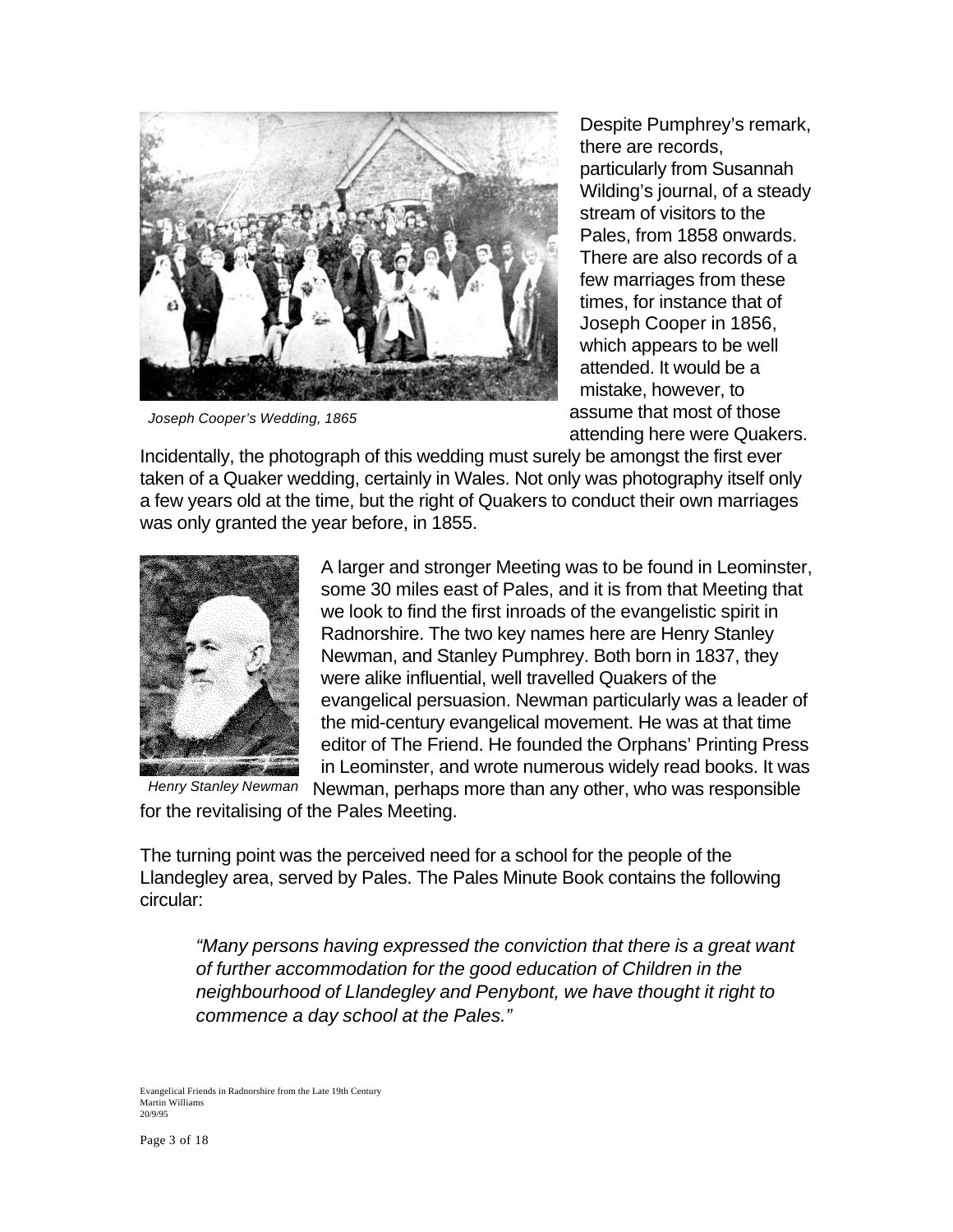

*Joseph Cooper's Wedding, 1865*

Despite Pumphrey's remark, there are records, particularly from Susannah Wilding's journal, of a steady stream of visitors to the Pales, from 1858 onwards. There are also records of a few marriages from these times, for instance that of Joseph Cooper in 1856, which appears to be well attended. It would be a mistake, however, to assume that most of those attending here were Quakers.

Incidentally, the photograph of this wedding must surely be amongst the first ever taken of a Quaker wedding, certainly in Wales. Not only was photography itself only a few years old at the time, but the right of Quakers to conduct their own marriages was only granted the year before, in 1855.



A larger and stronger Meeting was to be found in Leominster, some 30 miles east of Pales, and it is from that Meeting that we look to find the first inroads of the evangelistic spirit in Radnorshire. The two key names here are Henry Stanley Newman, and Stanley Pumphrey. Both born in 1837, they were alike influential, well travelled Quakers of the evangelical persuasion. Newman particularly was a leader of the mid-century evangelical movement. He was at that time editor of The Friend. He founded the Orphans' Printing Press in Leominster, and wrote numerous widely read books. It was Newman, perhaps more than any other, who was responsible

for the revitalising of the Pales Meeting.

The turning point was the perceived need for a school for the people of the Llandegley area, served by Pales. The Pales Minute Book contains the following circular:

*"Many persons having expressed the conviction that there is a great want of further accommodation for the good education of Children in the neighbourhood of Llandegley and Penybont, we have thought it right to commence a day school at the Pales."*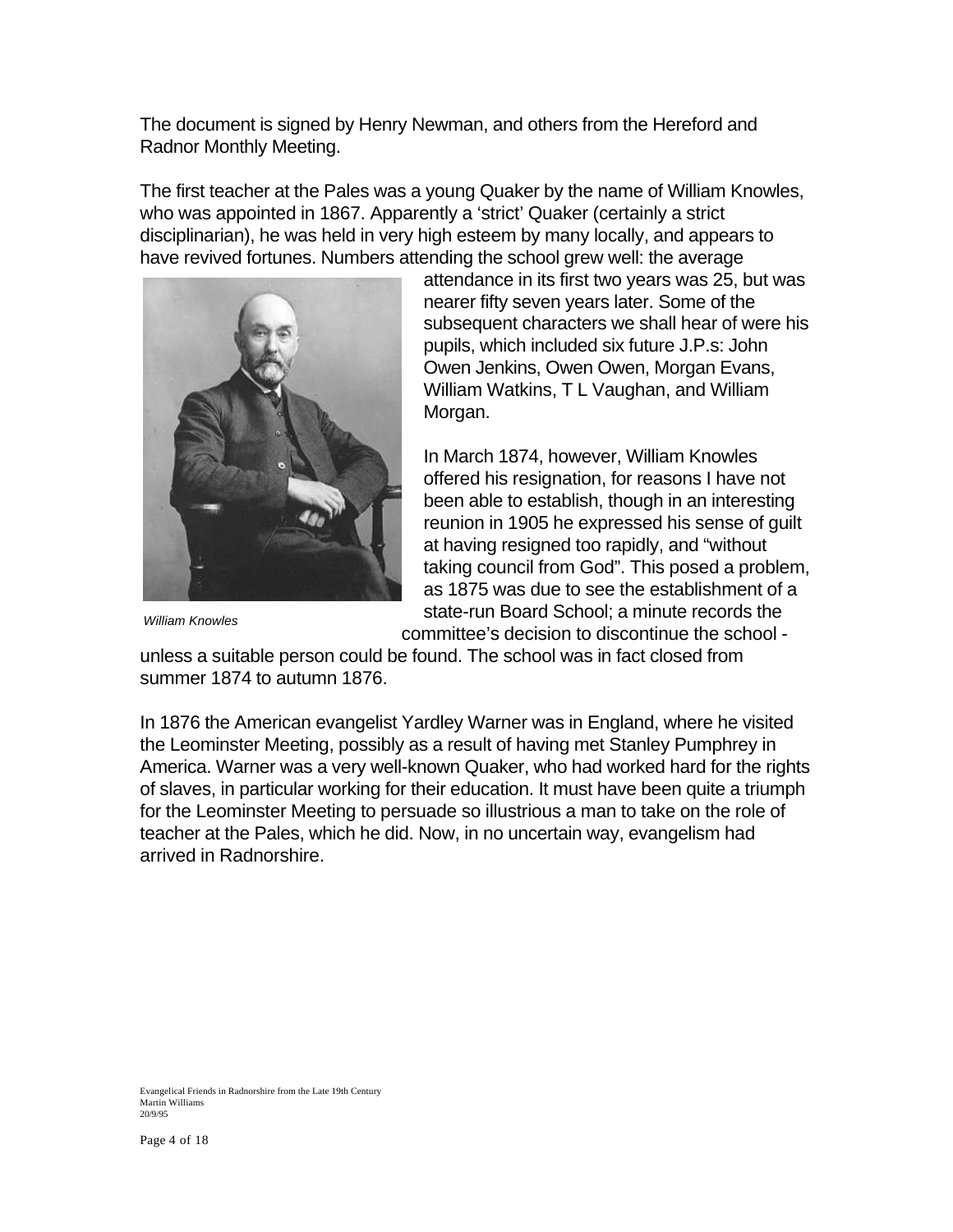The document is signed by Henry Newman, and others from the Hereford and Radnor Monthly Meeting.

The first teacher at the Pales was a young Quaker by the name of William Knowles, who was appointed in 1867. Apparently a 'strict' Quaker (certainly a strict disciplinarian), he was held in very high esteem by many locally, and appears to have revived fortunes. Numbers attending the school grew well: the average



attendance in its first two years was 25, but was nearer fifty seven years later. Some of the subsequent characters we shall hear of were his pupils, which included six future J.P.s: John Owen Jenkins, Owen Owen, Morgan Evans, William Watkins, T L Vaughan, and William Morgan.

In March 1874, however, William Knowles offered his resignation, for reasons I have not been able to establish, though in an interesting reunion in 1905 he expressed his sense of guilt at having resigned too rapidly, and "without taking council from God". This posed a problem, as 1875 was due to see the establishment of a state-run Board School; a minute records the committee's decision to discontinue the school -

*William Knowles*

unless a suitable person could be found. The school was in fact closed from summer 1874 to autumn 1876.

In 1876 the American evangelist Yardley Warner was in England, where he visited the Leominster Meeting, possibly as a result of having met Stanley Pumphrey in America. Warner was a very well-known Quaker, who had worked hard for the rights of slaves, in particular working for their education. It must have been quite a triumph for the Leominster Meeting to persuade so illustrious a man to take on the role of teacher at the Pales, which he did. Now, in no uncertain way, evangelism had arrived in Radnorshire.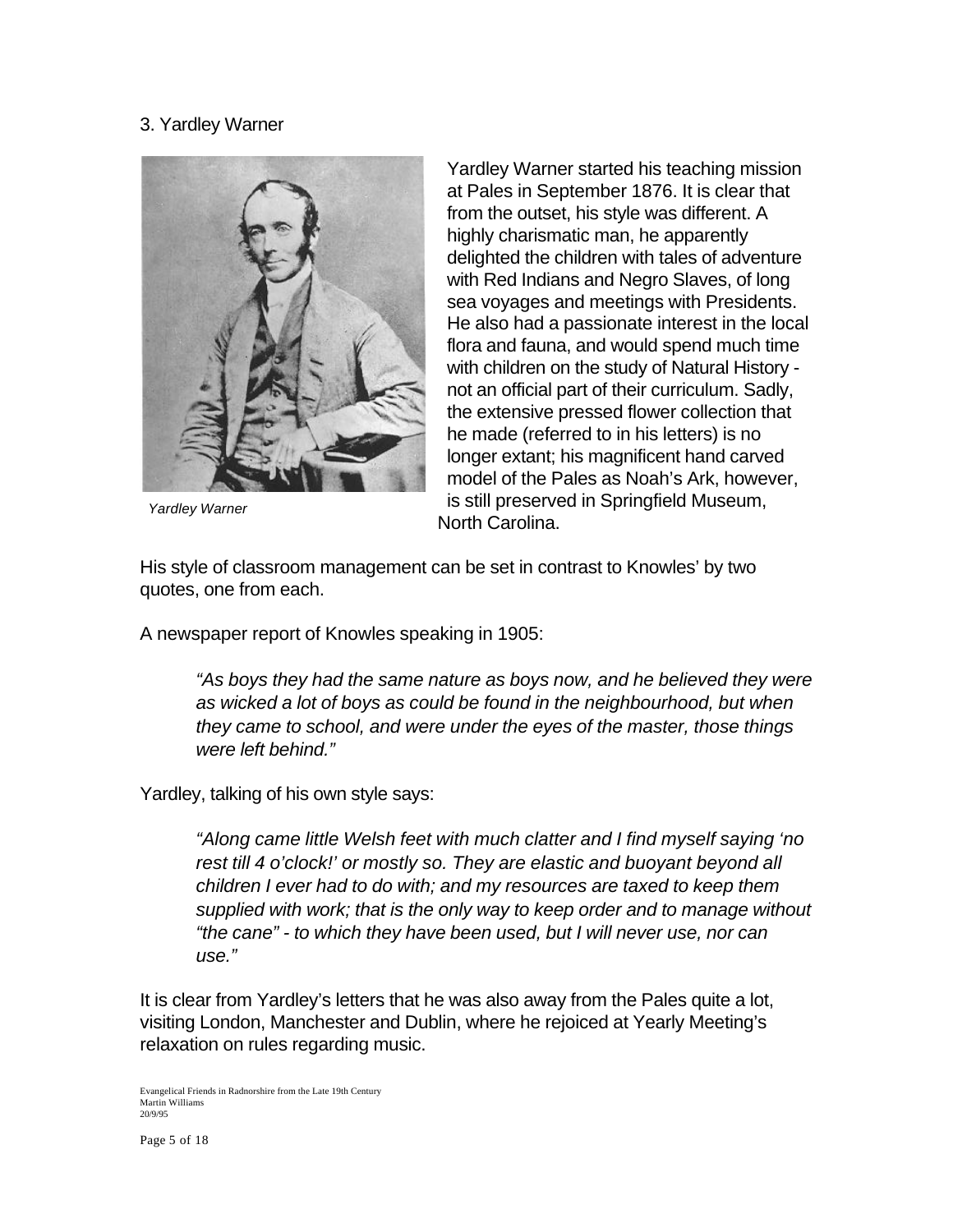# 3. Yardley Warner



*Yardley Warner*

Yardley Warner started his teaching mission at Pales in September 1876. It is clear that from the outset, his style was different. A highly charismatic man, he apparently delighted the children with tales of adventure with Red Indians and Negro Slaves, of long sea voyages and meetings with Presidents. He also had a passionate interest in the local flora and fauna, and would spend much time with children on the study of Natural History not an official part of their curriculum. Sadly, the extensive pressed flower collection that he made (referred to in his letters) is no longer extant; his magnificent hand carved model of the Pales as Noah's Ark, however, is still preserved in Springfield Museum, North Carolina.

His style of classroom management can be set in contrast to Knowles' by two quotes, one from each.

A newspaper report of Knowles speaking in 1905:

*"As boys they had the same nature as boys now, and he believed they were as wicked a lot of boys as could be found in the neighbourhood, but when they came to school, and were under the eyes of the master, those things were left behind."*

Yardley, talking of his own style says:

*"Along came little Welsh feet with much clatter and I find myself saying 'no rest till 4 o'clock!' or mostly so. They are elastic and buoyant beyond all children I ever had to do with; and my resources are taxed to keep them supplied with work; that is the only way to keep order and to manage without "the cane" - to which they have been used, but I will never use, nor can use."*

It is clear from Yardley's letters that he was also away from the Pales quite a lot, visiting London, Manchester and Dublin, where he rejoiced at Yearly Meeting's relaxation on rules regarding music.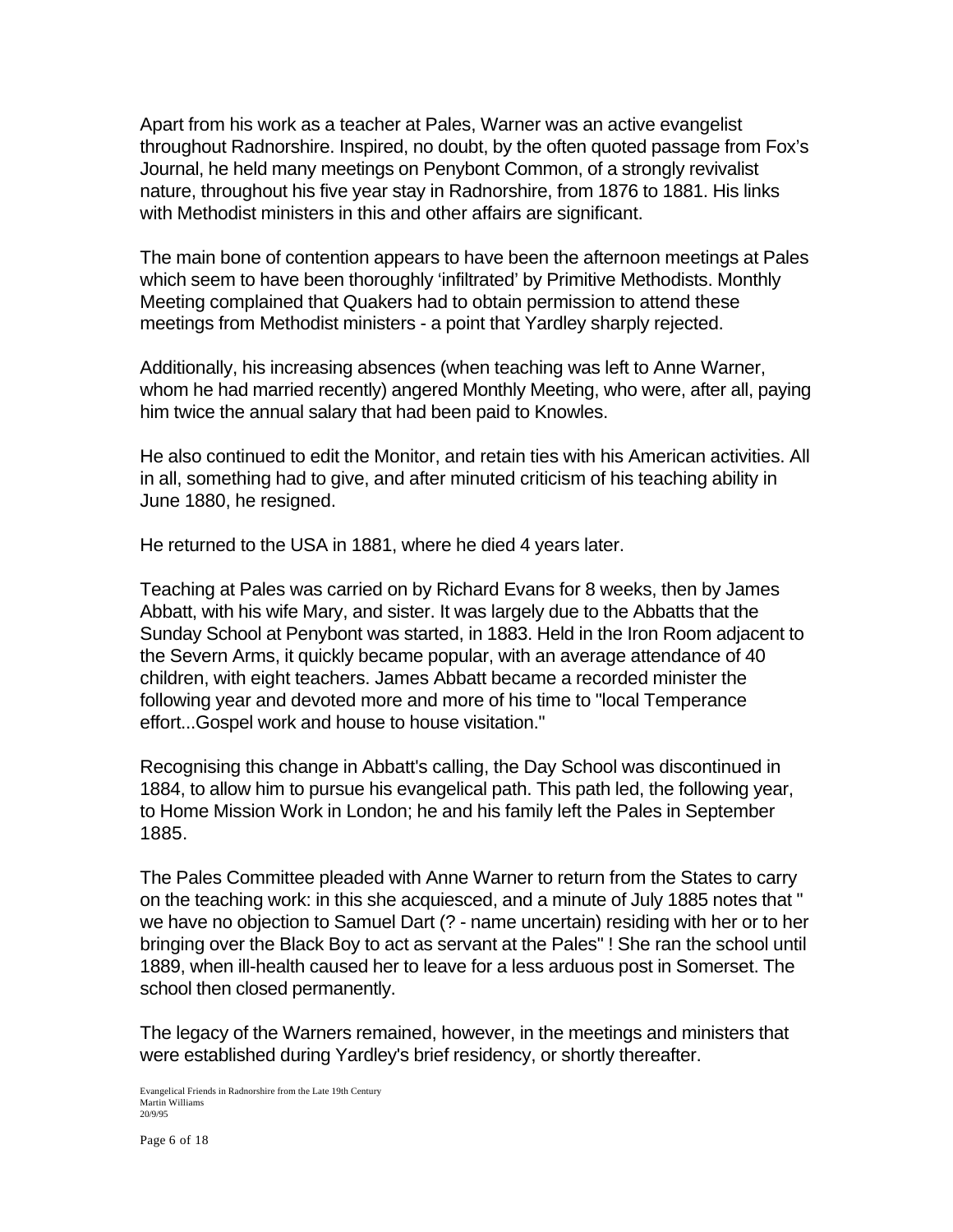Apart from his work as a teacher at Pales, Warner was an active evangelist throughout Radnorshire. Inspired, no doubt, by the often quoted passage from Fox's Journal, he held many meetings on Penybont Common, of a strongly revivalist nature, throughout his five year stay in Radnorshire, from 1876 to 1881. His links with Methodist ministers in this and other affairs are significant.

The main bone of contention appears to have been the afternoon meetings at Pales which seem to have been thoroughly 'infiltrated' by Primitive Methodists. Monthly Meeting complained that Quakers had to obtain permission to attend these meetings from Methodist ministers - a point that Yardley sharply rejected.

Additionally, his increasing absences (when teaching was left to Anne Warner, whom he had married recently) angered Monthly Meeting, who were, after all, paying him twice the annual salary that had been paid to Knowles.

He also continued to edit the Monitor, and retain ties with his American activities. All in all, something had to give, and after minuted criticism of his teaching ability in June 1880, he resigned.

He returned to the USA in 1881, where he died 4 years later.

Teaching at Pales was carried on by Richard Evans for 8 weeks, then by James Abbatt, with his wife Mary, and sister. It was largely due to the Abbatts that the Sunday School at Penybont was started, in 1883. Held in the Iron Room adjacent to the Severn Arms, it quickly became popular, with an average attendance of 40 children, with eight teachers. James Abbatt became a recorded minister the following year and devoted more and more of his time to "local Temperance effort...Gospel work and house to house visitation."

Recognising this change in Abbatt's calling, the Day School was discontinued in 1884, to allow him to pursue his evangelical path. This path led, the following year, to Home Mission Work in London; he and his family left the Pales in September 1885.

The Pales Committee pleaded with Anne Warner to return from the States to carry on the teaching work: in this she acquiesced, and a minute of July 1885 notes that " we have no objection to Samuel Dart (? - name uncertain) residing with her or to her bringing over the Black Boy to act as servant at the Pales" ! She ran the school until 1889, when ill-health caused her to leave for a less arduous post in Somerset. The school then closed permanently.

The legacy of the Warners remained, however, in the meetings and ministers that were established during Yardley's brief residency, or shortly thereafter.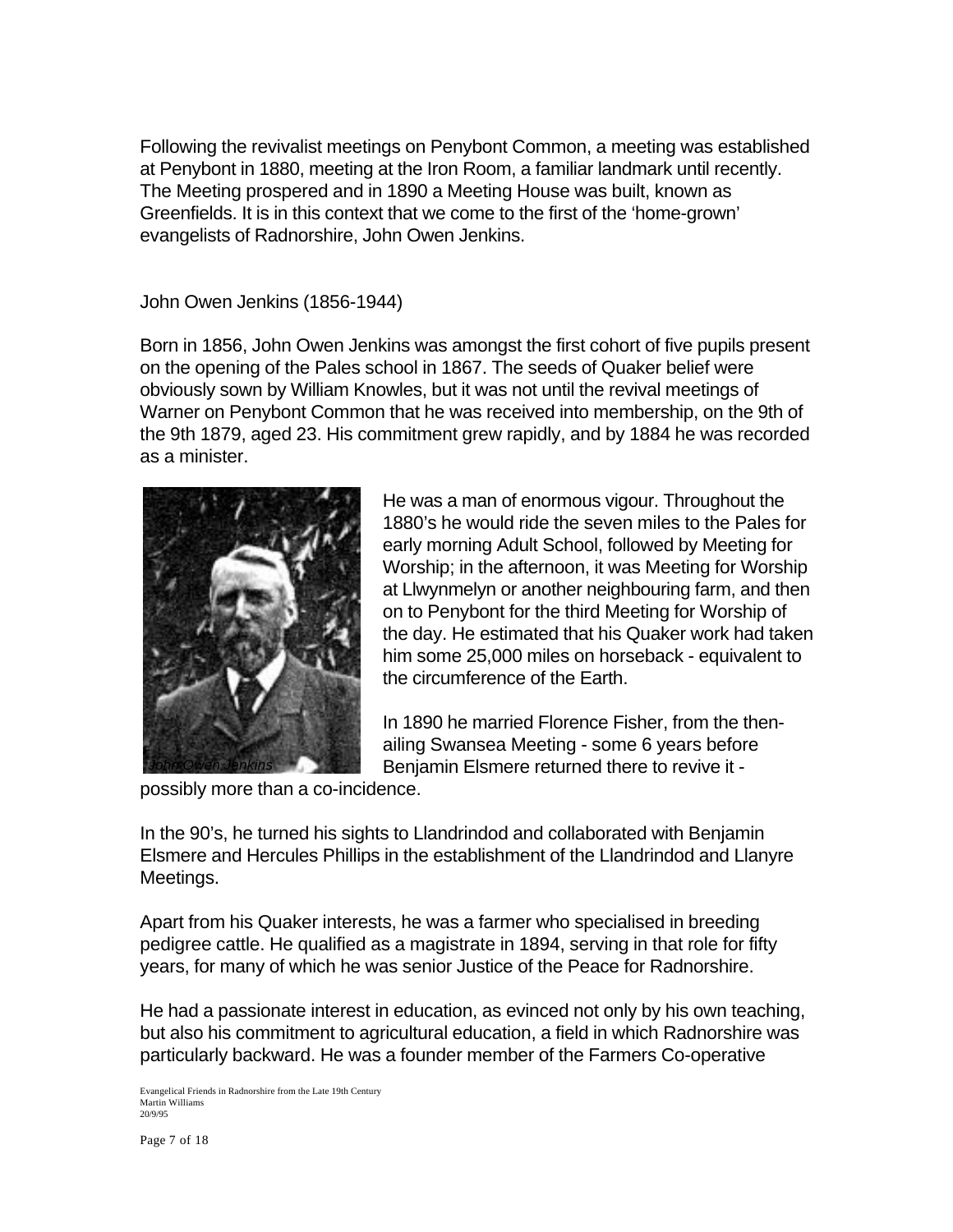Following the revivalist meetings on Penybont Common, a meeting was established at Penybont in 1880, meeting at the Iron Room, a familiar landmark until recently. The Meeting prospered and in 1890 a Meeting House was built, known as Greenfields. It is in this context that we come to the first of the 'home-grown' evangelists of Radnorshire, John Owen Jenkins.

John Owen Jenkins (1856-1944)

Born in 1856, John Owen Jenkins was amongst the first cohort of five pupils present on the opening of the Pales school in 1867. The seeds of Quaker belief were obviously sown by William Knowles, but it was not until the revival meetings of Warner on Penybont Common that he was received into membership, on the 9th of the 9th 1879, aged 23. His commitment grew rapidly, and by 1884 he was recorded as a minister.



He was a man of enormous vigour. Throughout the 1880's he would ride the seven miles to the Pales for early morning Adult School, followed by Meeting for Worship; in the afternoon, it was Meeting for Worship at Llwynmelyn or another neighbouring farm, and then on to Penybont for the third Meeting for Worship of the day. He estimated that his Quaker work had taken him some 25,000 miles on horseback - equivalent to the circumference of the Earth.

In 1890 he married Florence Fisher, from the thenailing Swansea Meeting - some 6 years before Benjamin Elsmere returned there to revive it -

possibly more than a co-incidence.

In the 90's, he turned his sights to Llandrindod and collaborated with Benjamin Elsmere and Hercules Phillips in the establishment of the Llandrindod and Llanyre Meetings.

Apart from his Quaker interests, he was a farmer who specialised in breeding pedigree cattle. He qualified as a magistrate in 1894, serving in that role for fifty years, for many of which he was senior Justice of the Peace for Radnorshire.

He had a passionate interest in education, as evinced not only by his own teaching, but also his commitment to agricultural education, a field in which Radnorshire was particularly backward. He was a founder member of the Farmers Co-operative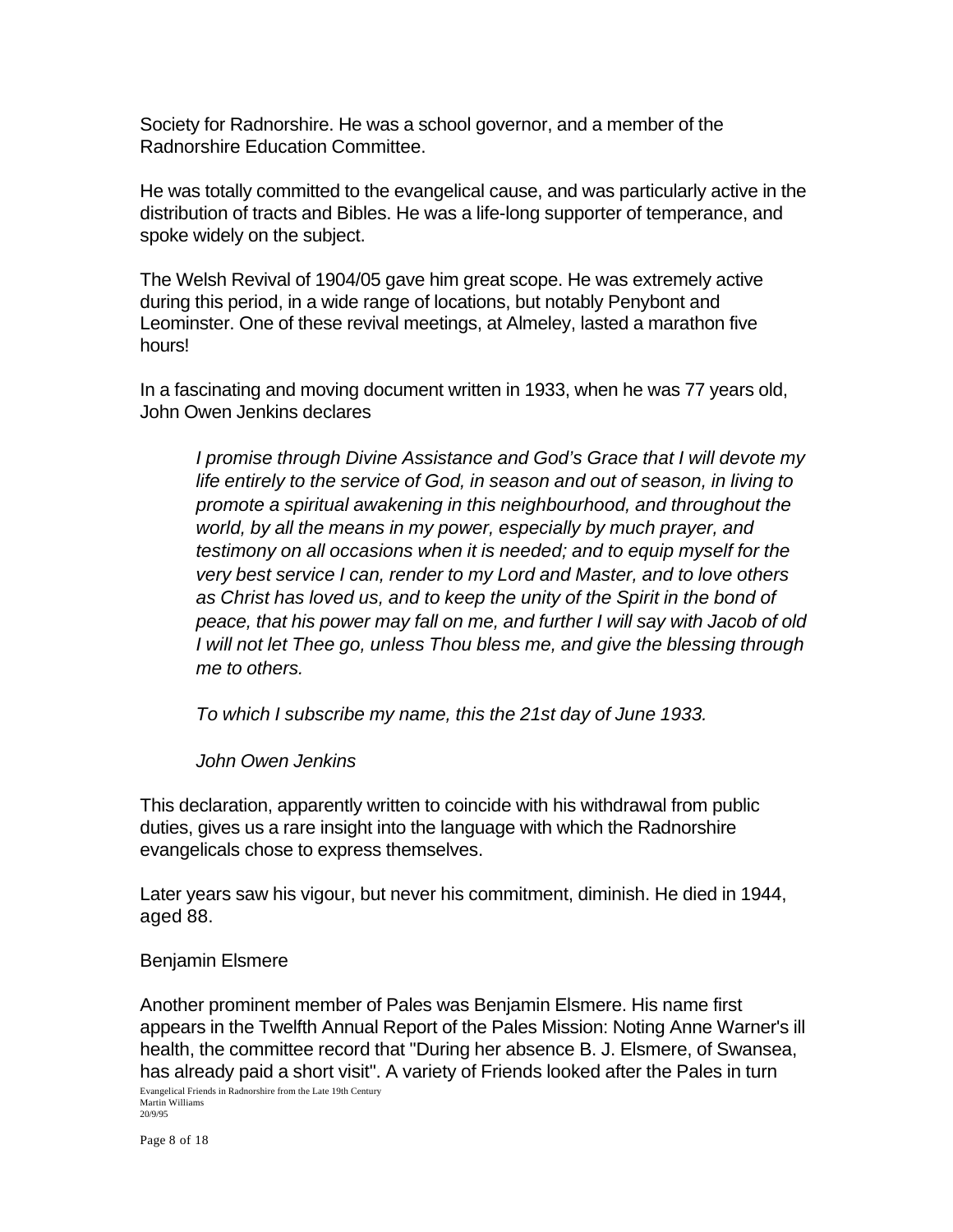Society for Radnorshire. He was a school governor, and a member of the Radnorshire Education Committee.

He was totally committed to the evangelical cause, and was particularly active in the distribution of tracts and Bibles. He was a life-long supporter of temperance, and spoke widely on the subject.

The Welsh Revival of 1904/05 gave him great scope. He was extremely active during this period, in a wide range of locations, but notably Penybont and Leominster. One of these revival meetings, at Almeley, lasted a marathon five hours!

In a fascinating and moving document written in 1933, when he was 77 years old, John Owen Jenkins declares

*I promise through Divine Assistance and God's Grace that I will devote my life entirely to the service of God, in season and out of season, in living to promote a spiritual awakening in this neighbourhood, and throughout the world, by all the means in my power, especially by much prayer, and testimony on all occasions when it is needed; and to equip myself for the very best service I can, render to my Lord and Master, and to love others as Christ has loved us, and to keep the unity of the Spirit in the bond of peace, that his power may fall on me, and further I will say with Jacob of old I will not let Thee go, unless Thou bless me, and give the blessing through me to others.*

*To which I subscribe my name, this the 21st day of June 1933.*

*John Owen Jenkins*

This declaration, apparently written to coincide with his withdrawal from public duties, gives us a rare insight into the language with which the Radnorshire evangelicals chose to express themselves.

Later years saw his vigour, but never his commitment, diminish. He died in 1944, aged 88.

## Benjamin Elsmere

Another prominent member of Pales was Benjamin Elsmere. His name first appears in the Twelfth Annual Report of the Pales Mission: Noting Anne Warner's ill health, the committee record that "During her absence B. J. Elsmere, of Swansea, has already paid a short visit". A variety of Friends looked after the Pales in turn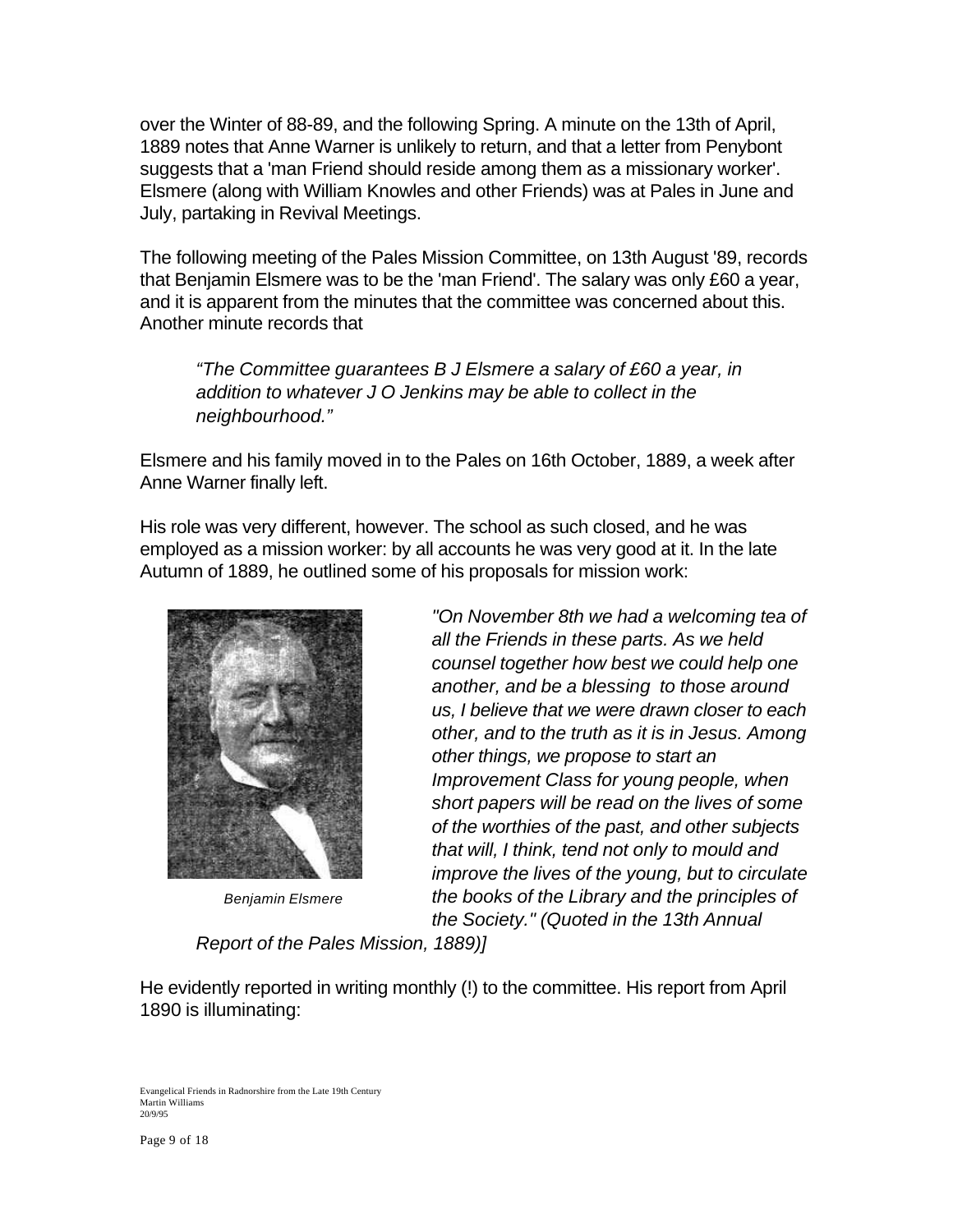over the Winter of 88-89, and the following Spring. A minute on the 13th of April, 1889 notes that Anne Warner is unlikely to return, and that a letter from Penybont suggests that a 'man Friend should reside among them as a missionary worker'. Elsmere (along with William Knowles and other Friends) was at Pales in June and July, partaking in Revival Meetings.

The following meeting of the Pales Mission Committee, on 13th August '89, records that Benjamin Elsmere was to be the 'man Friend'. The salary was only £60 a year, and it is apparent from the minutes that the committee was concerned about this. Another minute records that

*"The Committee guarantees B J Elsmere a salary of £60 a year, in addition to whatever J O Jenkins may be able to collect in the neighbourhood."*

Elsmere and his family moved in to the Pales on 16th October, 1889, a week after Anne Warner finally left.

His role was very different, however. The school as such closed, and he was employed as a mission worker: by all accounts he was very good at it. In the late Autumn of 1889, he outlined some of his proposals for mission work:



*Benjamin Elsmere*

*"On November 8th we had a welcoming tea of all the Friends in these parts. As we held counsel together how best we could help one another, and be a blessing to those around us, I believe that we were drawn closer to each other, and to the truth as it is in Jesus. Among other things, we propose to start an Improvement Class for young people, when short papers will be read on the lives of some of the worthies of the past, and other subjects that will, I think, tend not only to mould and improve the lives of the young, but to circulate the books of the Library and the principles of the Society." (Quoted in the 13th Annual*

*Report of the Pales Mission, 1889)]*

He evidently reported in writing monthly (!) to the committee. His report from April 1890 is illuminating: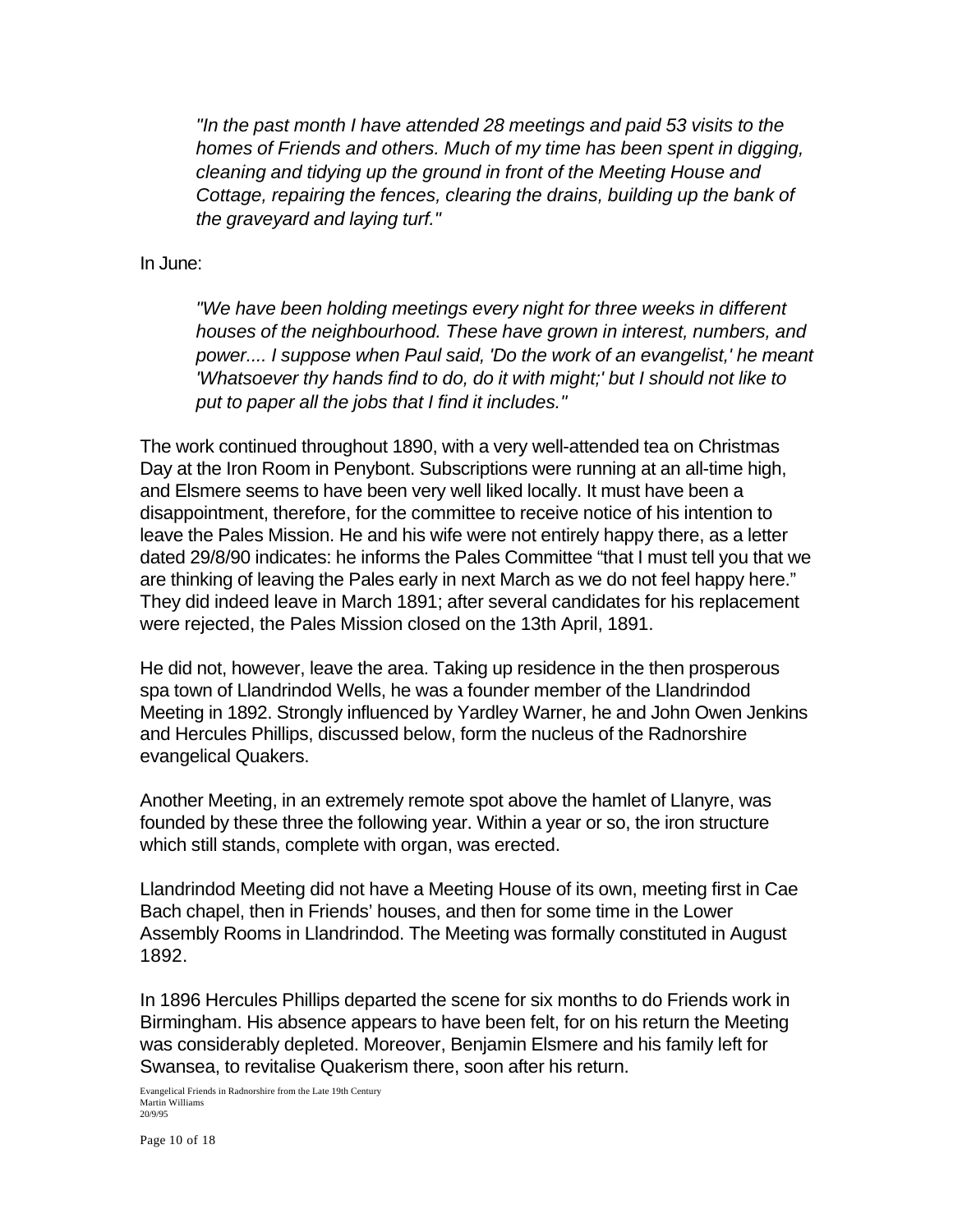*"In the past month I have attended 28 meetings and paid 53 visits to the homes of Friends and others. Much of my time has been spent in digging, cleaning and tidying up the ground in front of the Meeting House and Cottage, repairing the fences, clearing the drains, building up the bank of the graveyard and laying turf."*

In June:

*"We have been holding meetings every night for three weeks in different houses of the neighbourhood. These have grown in interest, numbers, and power.... I suppose when Paul said, 'Do the work of an evangelist,' he meant 'Whatsoever thy hands find to do, do it with might;' but I should not like to put to paper all the jobs that I find it includes."*

The work continued throughout 1890, with a very well-attended tea on Christmas Day at the Iron Room in Penybont. Subscriptions were running at an all-time high, and Elsmere seems to have been very well liked locally. It must have been a disappointment, therefore, for the committee to receive notice of his intention to leave the Pales Mission. He and his wife were not entirely happy there, as a letter dated 29/8/90 indicates: he informs the Pales Committee "that I must tell you that we are thinking of leaving the Pales early in next March as we do not feel happy here." They did indeed leave in March 1891; after several candidates for his replacement were rejected, the Pales Mission closed on the 13th April, 1891.

He did not, however, leave the area. Taking up residence in the then prosperous spa town of Llandrindod Wells, he was a founder member of the Llandrindod Meeting in 1892. Strongly influenced by Yardley Warner, he and John Owen Jenkins and Hercules Phillips, discussed below, form the nucleus of the Radnorshire evangelical Quakers.

Another Meeting, in an extremely remote spot above the hamlet of Llanyre, was founded by these three the following year. Within a year or so, the iron structure which still stands, complete with organ, was erected.

Llandrindod Meeting did not have a Meeting House of its own, meeting first in Cae Bach chapel, then in Friends' houses, and then for some time in the Lower Assembly Rooms in Llandrindod. The Meeting was formally constituted in August 1892.

In 1896 Hercules Phillips departed the scene for six months to do Friends work in Birmingham. His absence appears to have been felt, for on his return the Meeting was considerably depleted. Moreover, Benjamin Elsmere and his family left for Swansea, to revitalise Quakerism there, soon after his return.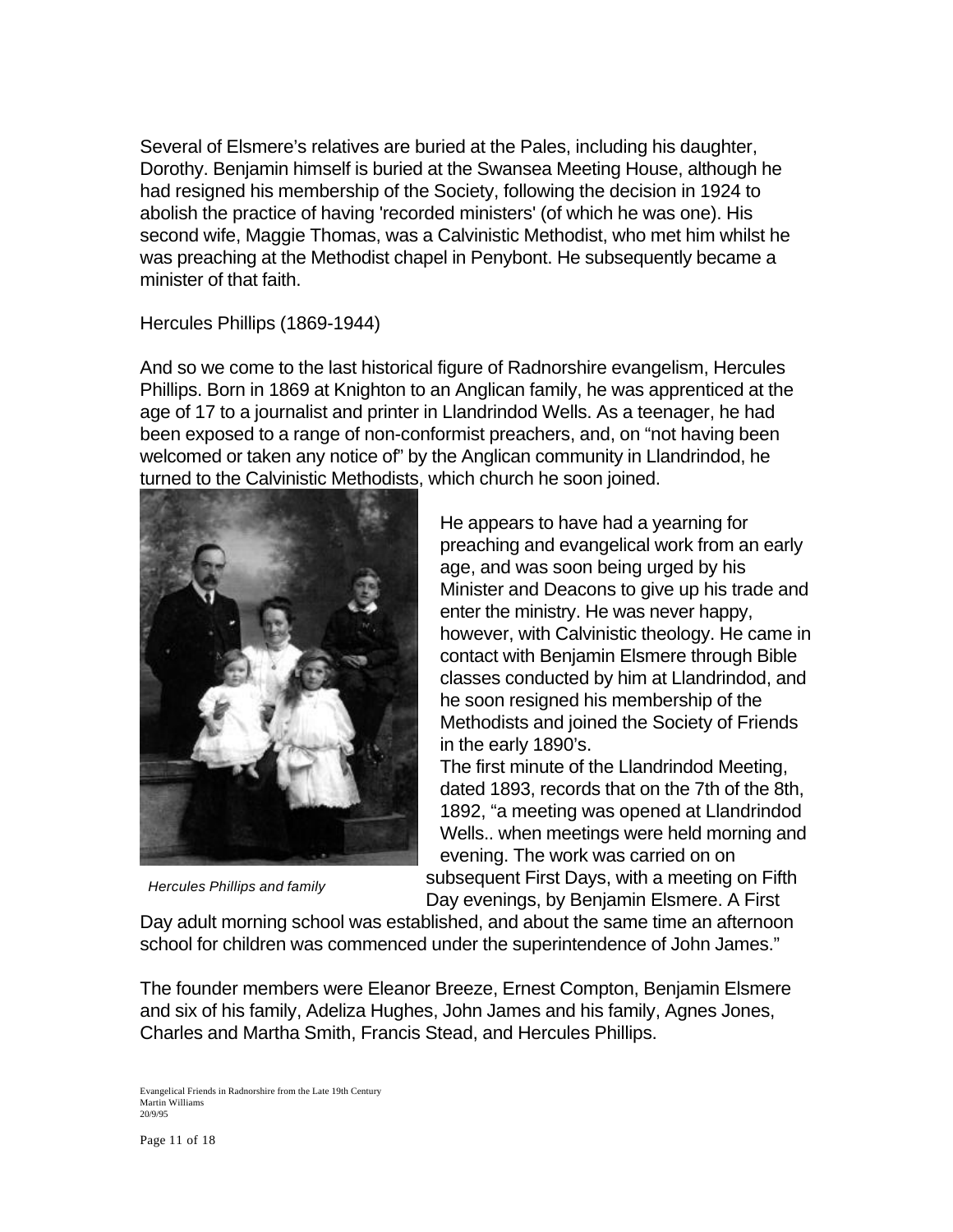Several of Elsmere's relatives are buried at the Pales, including his daughter, Dorothy. Benjamin himself is buried at the Swansea Meeting House, although he had resigned his membership of the Society, following the decision in 1924 to abolish the practice of having 'recorded ministers' (of which he was one). His second wife, Maggie Thomas, was a Calvinistic Methodist, who met him whilst he was preaching at the Methodist chapel in Penybont. He subsequently became a minister of that faith.

Hercules Phillips (1869-1944)

And so we come to the last historical figure of Radnorshire evangelism, Hercules Phillips. Born in 1869 at Knighton to an Anglican family, he was apprenticed at the age of 17 to a journalist and printer in Llandrindod Wells. As a teenager, he had been exposed to a range of non-conformist preachers, and, on "not having been welcomed or taken any notice of" by the Anglican community in Llandrindod, he turned to the Calvinistic Methodists, which church he soon joined.



*Hercules Phillips and family*

He appears to have had a yearning for preaching and evangelical work from an early age, and was soon being urged by his Minister and Deacons to give up his trade and enter the ministry. He was never happy, however, with Calvinistic theology. He came in contact with Benjamin Elsmere through Bible classes conducted by him at Llandrindod, and he soon resigned his membership of the Methodists and joined the Society of Friends in the early 1890's.

The first minute of the Llandrindod Meeting, dated 1893, records that on the 7th of the 8th, 1892, "a meeting was opened at Llandrindod Wells.. when meetings were held morning and evening. The work was carried on on subsequent First Days, with a meeting on Fifth Day evenings, by Benjamin Elsmere. A First

Day adult morning school was established, and about the same time an afternoon school for children was commenced under the superintendence of John James."

The founder members were Eleanor Breeze, Ernest Compton, Benjamin Elsmere and six of his family, Adeliza Hughes, John James and his family, Agnes Jones, Charles and Martha Smith, Francis Stead, and Hercules Phillips.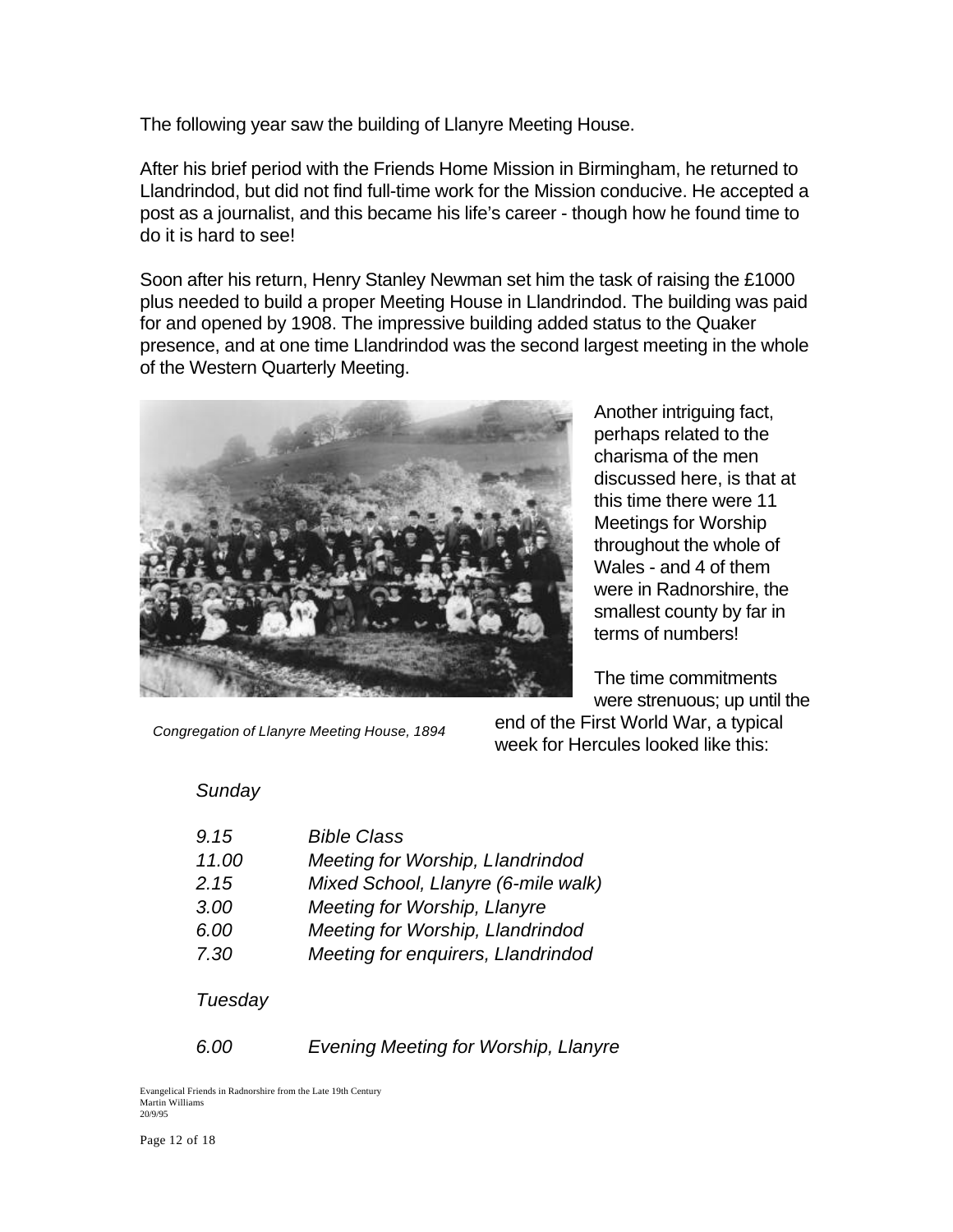The following year saw the building of Llanyre Meeting House.

After his brief period with the Friends Home Mission in Birmingham, he returned to Llandrindod, but did not find full-time work for the Mission conducive. He accepted a post as a journalist, and this became his life's career - though how he found time to do it is hard to see!

Soon after his return, Henry Stanley Newman set him the task of raising the £1000 plus needed to build a proper Meeting House in Llandrindod. The building was paid for and opened by 1908. The impressive building added status to the Quaker presence, and at one time Llandrindod was the second largest meeting in the whole of the Western Quarterly Meeting.



Another intriguing fact, perhaps related to the charisma of the men discussed here, is that at this time there were 11 Meetings for Worship throughout the whole of Wales - and 4 of them were in Radnorshire, the smallest county by far in terms of numbers!

The time commitments were strenuous; up until the

*Congregation of Llanyre Meeting House, 1894*

end of the First World War, a typical week for Hercules looked like this:

## *Sunday*

| <b>Bible Class</b>                  |
|-------------------------------------|
| Meeting for Worship, Llandrindod    |
| Mixed School, Llanyre (6-mile walk) |
| Meeting for Worship, Llanyre        |
| Meeting for Worship, Llandrindod    |
| Meeting for enquirers, Llandrindod  |
|                                     |

#### *Tuesday*

*6.00 Evening Meeting for Worship, Llanyre*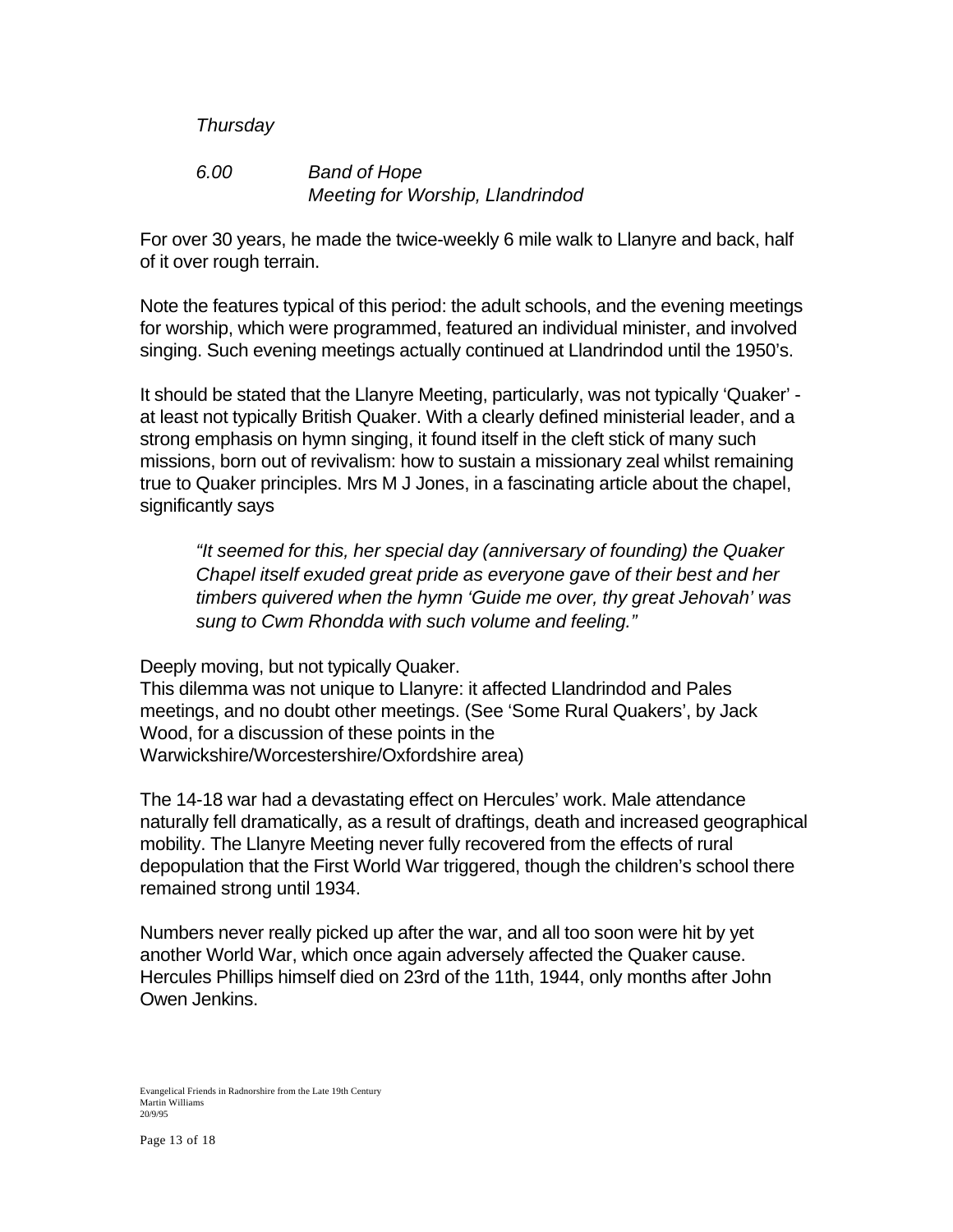### *Thursday*

### *6.00 Band of Hope Meeting for Worship, Llandrindod*

For over 30 years, he made the twice-weekly 6 mile walk to Llanyre and back, half of it over rough terrain.

Note the features typical of this period: the adult schools, and the evening meetings for worship, which were programmed, featured an individual minister, and involved singing. Such evening meetings actually continued at Llandrindod until the 1950's.

It should be stated that the Llanyre Meeting, particularly, was not typically 'Quaker' at least not typically British Quaker. With a clearly defined ministerial leader, and a strong emphasis on hymn singing, it found itself in the cleft stick of many such missions, born out of revivalism: how to sustain a missionary zeal whilst remaining true to Quaker principles. Mrs M J Jones, in a fascinating article about the chapel, significantly says

*"It seemed for this, her special day (anniversary of founding) the Quaker Chapel itself exuded great pride as everyone gave of their best and her timbers quivered when the hymn 'Guide me over, thy great Jehovah' was sung to Cwm Rhondda with such volume and feeling."*

Deeply moving, but not typically Quaker.

This dilemma was not unique to Llanyre: it affected Llandrindod and Pales meetings, and no doubt other meetings. (See 'Some Rural Quakers', by Jack Wood, for a discussion of these points in the Warwickshire/Worcestershire/Oxfordshire area)

The 14-18 war had a devastating effect on Hercules' work. Male attendance naturally fell dramatically, as a result of draftings, death and increased geographical mobility. The Llanyre Meeting never fully recovered from the effects of rural depopulation that the First World War triggered, though the children's school there remained strong until 1934.

Numbers never really picked up after the war, and all too soon were hit by yet another World War, which once again adversely affected the Quaker cause. Hercules Phillips himself died on 23rd of the 11th, 1944, only months after John Owen Jenkins.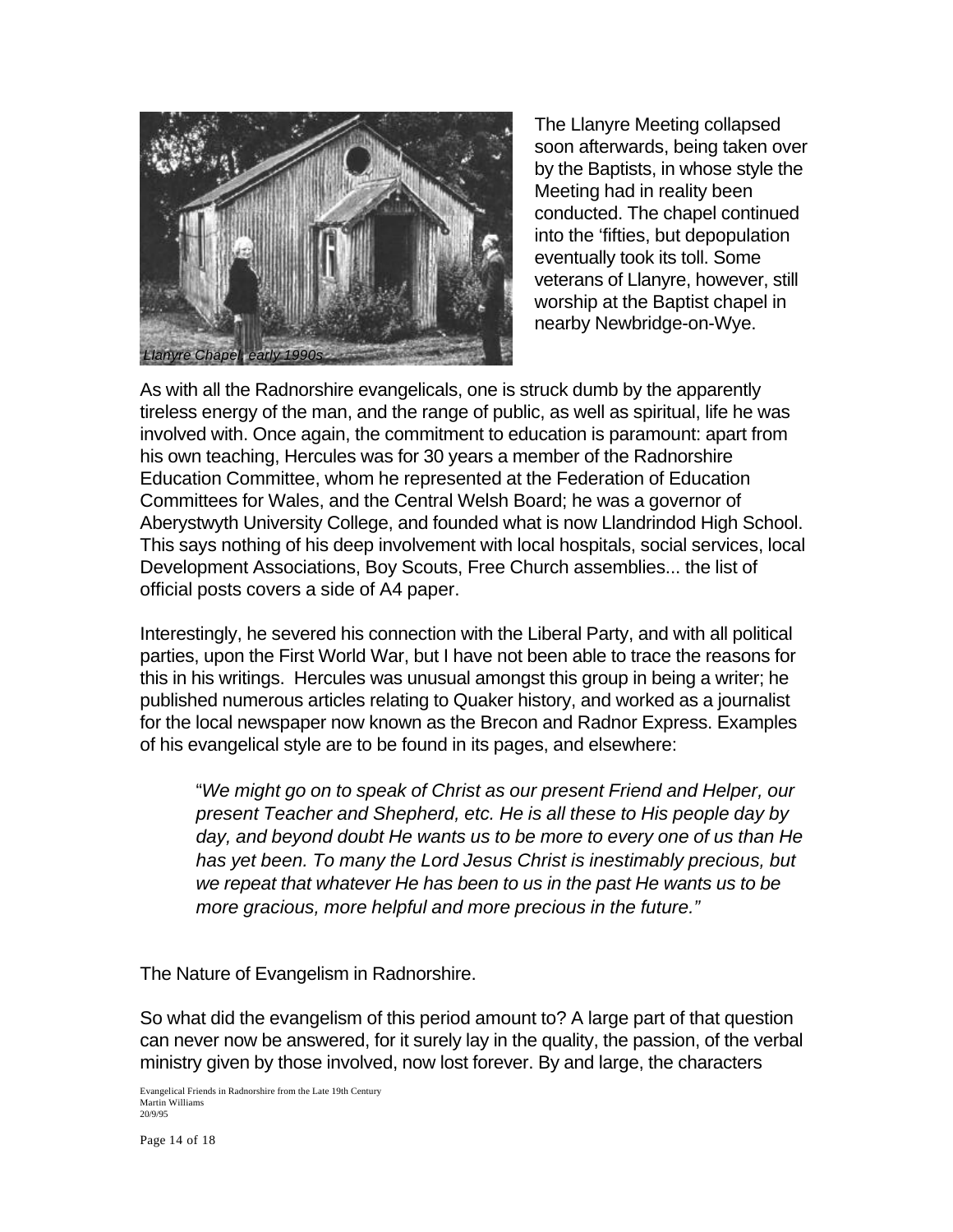

The Llanyre Meeting collapsed soon afterwards, being taken over by the Baptists, in whose style the Meeting had in reality been conducted. The chapel continued into the 'fifties, but depopulation eventually took its toll. Some veterans of Llanyre, however, still worship at the Baptist chapel in nearby Newbridge-on-Wye.

As with all the Radnorshire evangelicals, one is struck dumb by the apparently tireless energy of the man, and the range of public, as well as spiritual, life he was involved with. Once again, the commitment to education is paramount: apart from his own teaching, Hercules was for 30 years a member of the Radnorshire Education Committee, whom he represented at the Federation of Education Committees for Wales, and the Central Welsh Board; he was a governor of Aberystwyth University College, and founded what is now Llandrindod High School. This says nothing of his deep involvement with local hospitals, social services, local Development Associations, Boy Scouts, Free Church assemblies... the list of official posts covers a side of A4 paper.

Interestingly, he severed his connection with the Liberal Party, and with all political parties, upon the First World War, but I have not been able to trace the reasons for this in his writings. Hercules was unusual amongst this group in being a writer; he published numerous articles relating to Quaker history, and worked as a journalist for the local newspaper now known as the Brecon and Radnor Express. Examples of his evangelical style are to be found in its pages, and elsewhere:

"*We might go on to speak of Christ as our present Friend and Helper, our present Teacher and Shepherd, etc. He is all these to His people day by day, and beyond doubt He wants us to be more to every one of us than He has yet been. To many the Lord Jesus Christ is inestimably precious, but we repeat that whatever He has been to us in the past He wants us to be more gracious, more helpful and more precious in the future."*

The Nature of Evangelism in Radnorshire.

So what did the evangelism of this period amount to? A large part of that question can never now be answered, for it surely lay in the quality, the passion, of the verbal ministry given by those involved, now lost forever. By and large, the characters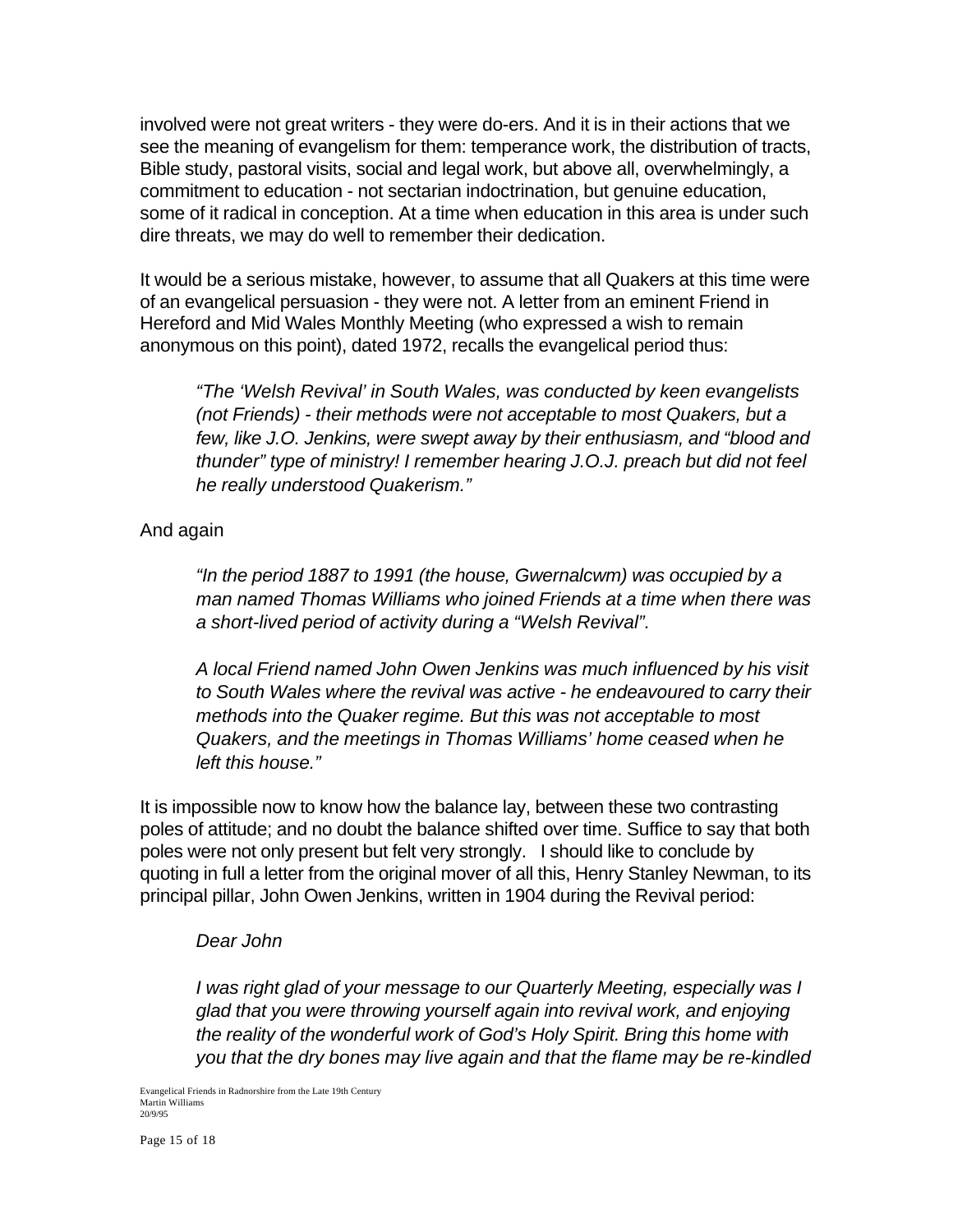involved were not great writers - they were do-ers. And it is in their actions that we see the meaning of evangelism for them: temperance work, the distribution of tracts, Bible study, pastoral visits, social and legal work, but above all, overwhelmingly, a commitment to education - not sectarian indoctrination, but genuine education, some of it radical in conception. At a time when education in this area is under such dire threats, we may do well to remember their dedication.

It would be a serious mistake, however, to assume that all Quakers at this time were of an evangelical persuasion - they were not. A letter from an eminent Friend in Hereford and Mid Wales Monthly Meeting (who expressed a wish to remain anonymous on this point), dated 1972, recalls the evangelical period thus:

*"The 'Welsh Revival' in South Wales, was conducted by keen evangelists (not Friends) - their methods were not acceptable to most Quakers, but a few, like J.O. Jenkins, were swept away by their enthusiasm, and "blood and thunder" type of ministry! I remember hearing J.O.J. preach but did not feel he really understood Quakerism."*

#### And again

*"In the period 1887 to 1991 (the house, Gwernalcwm) was occupied by a man named Thomas Williams who joined Friends at a time when there was a short-lived period of activity during a "Welsh Revival".*

*A local Friend named John Owen Jenkins was much influenced by his visit to South Wales where the revival was active - he endeavoured to carry their methods into the Quaker regime. But this was not acceptable to most Quakers, and the meetings in Thomas Williams' home ceased when he left this house."*

It is impossible now to know how the balance lay, between these two contrasting poles of attitude; and no doubt the balance shifted over time. Suffice to say that both poles were not only present but felt very strongly. I should like to conclude by quoting in full a letter from the original mover of all this, Henry Stanley Newman, to its principal pillar, John Owen Jenkins, written in 1904 during the Revival period:

#### *Dear John*

*I was right glad of your message to our Quarterly Meeting, especially was I glad that you were throwing yourself again into revival work, and enjoying the reality of the wonderful work of God's Holy Spirit. Bring this home with you that the dry bones may live again and that the flame may be re-kindled*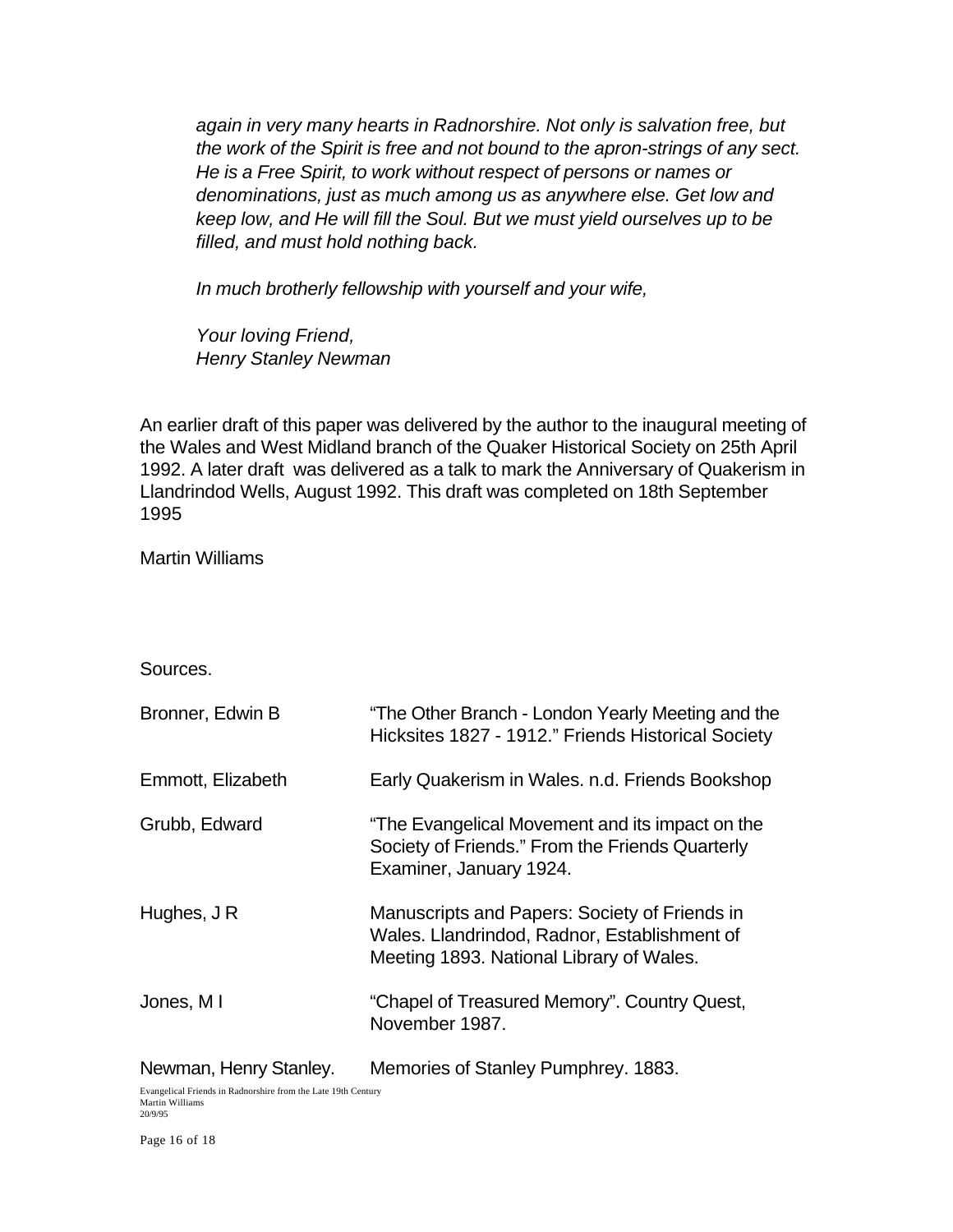*again in very many hearts in Radnorshire. Not only is salvation free, but the work of the Spirit is free and not bound to the apron-strings of any sect. He is a Free Spirit, to work without respect of persons or names or denominations, just as much among us as anywhere else. Get low and keep low, and He will fill the Soul. But we must yield ourselves up to be filled, and must hold nothing back.*

*In much brotherly fellowship with yourself and your wife,*

*Your loving Friend, Henry Stanley Newman*

An earlier draft of this paper was delivered by the author to the inaugural meeting of the Wales and West Midland branch of the Quaker Historical Society on 25th April 1992. A later draft was delivered as a talk to mark the Anniversary of Quakerism in Llandrindod Wells, August 1992. This draft was completed on 18th September 1995

Martin Williams

Sources.

| Bronner, Edwin B       | "The Other Branch - London Yearly Meeting and the<br>Hicksites 1827 - 1912." Friends Historical Society                                   |
|------------------------|-------------------------------------------------------------------------------------------------------------------------------------------|
| Emmott, Elizabeth      | Early Quakerism in Wales. n.d. Friends Bookshop                                                                                           |
| Grubb, Edward          | "The Evangelical Movement and its impact on the<br>Society of Friends." From the Friends Quarterly<br>Examiner, January 1924.             |
| Hughes, J R            | Manuscripts and Papers: Society of Friends in<br>Wales. Llandrindod, Radnor, Establishment of<br>Meeting 1893. National Library of Wales. |
| Jones, MI              | "Chapel of Treasured Memory". Country Quest,<br>November 1987.                                                                            |
| Newman, Henry Stanley. | Memories of Stanley Pumphrey. 1883.                                                                                                       |